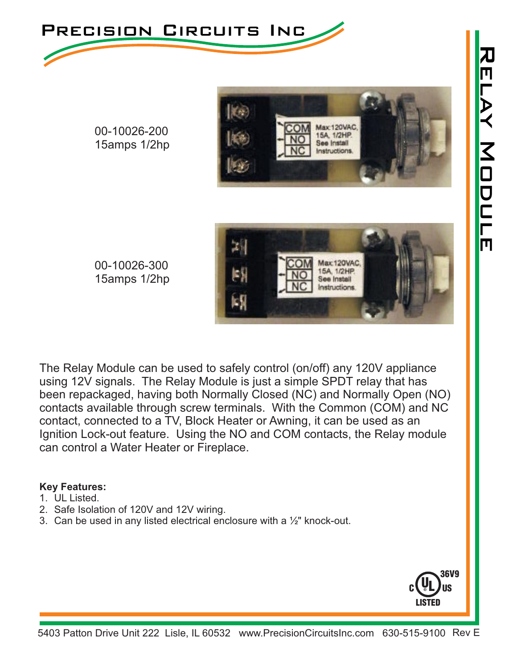



00-10026-200 15amps 1/2hp



00-10026-300 15amps 1/2hp

The Relay Module can be used to safely control (on/off) any 120V appliance using 12V signals. The Relay Module is just a simple SPDT relay that has been repackaged, having both Normally Closed (NC) and Normally Open (NO) contacts available through screw terminals. With the Common (COM) and NC contact, connected to a TV, Block Heater or Awning, it can be used as an Ignition Lock-out feature. Using the NO and COM contacts, the Relay module can control a Water Heater or Fireplace.

## **Key Features:**

- 1. UL Listed.
- 2. Safe Isolation of 120V and 12V wiring.
- 3. Can be used in any listed electrical enclosure with a  $\frac{1}{2}$ " knock-out.